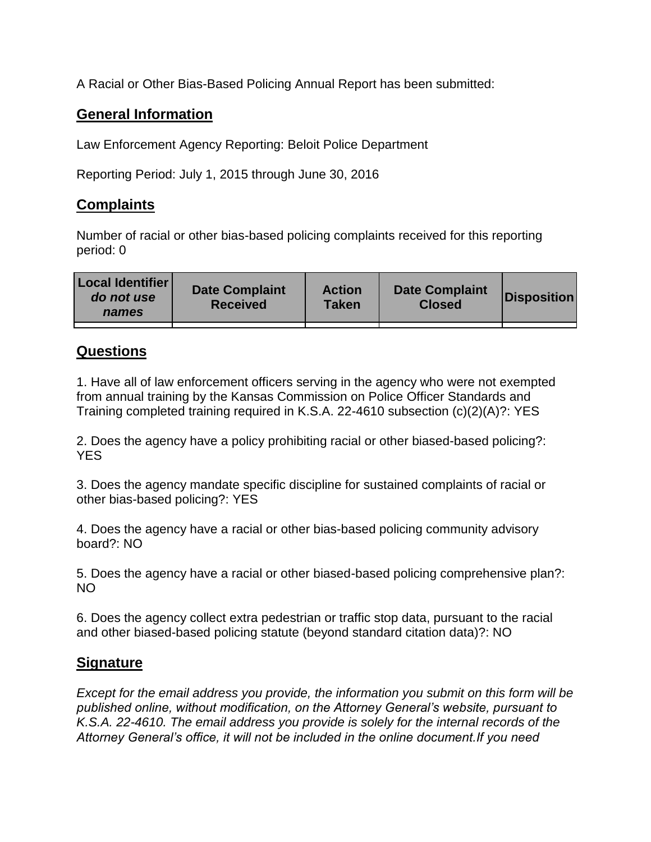A Racial or Other Bias-Based Policing Annual Report has been submitted:

## **General Information**

Law Enforcement Agency Reporting: Beloit Police Department

Reporting Period: July 1, 2015 through June 30, 2016

## **Complaints**

Number of racial or other bias-based policing complaints received for this reporting period: 0

| <b>Local Identifier</b><br>do not use<br>names | <b>Date Complaint</b><br><b>Received</b> | <b>Action</b><br><b>Taken</b> | <b>Date Complaint</b><br><b>Closed</b> | Disposition |
|------------------------------------------------|------------------------------------------|-------------------------------|----------------------------------------|-------------|
|                                                |                                          |                               |                                        |             |

## **Questions**

1. Have all of law enforcement officers serving in the agency who were not exempted from annual training by the Kansas Commission on Police Officer Standards and Training completed training required in K.S.A. 22-4610 subsection (c)(2)(A)?: YES

2. Does the agency have a policy prohibiting racial or other biased-based policing?: YES

3. Does the agency mandate specific discipline for sustained complaints of racial or other bias-based policing?: YES

4. Does the agency have a racial or other bias-based policing community advisory board?: NO

5. Does the agency have a racial or other biased-based policing comprehensive plan?: NO

6. Does the agency collect extra pedestrian or traffic stop data, pursuant to the racial and other biased-based policing statute (beyond standard citation data)?: NO

## **Signature**

*Except for the email address you provide, the information you submit on this form will be published online, without modification, on the Attorney General's website, pursuant to K.S.A. 22-4610. The email address you provide is solely for the internal records of the Attorney General's office, it will not be included in the online document.If you need*